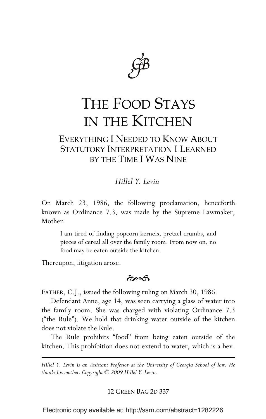

# THE FOOD STAYS IN THE KITCHEN

## EVERYTHING I NEEDED TO KNOW ABOUT STATUTORY INTERPRETATION I LEARNED BY THE TIME I WAS NINE

*Hillel Y. Levin*†

On March 23, 1986, the following proclamation, henceforth known as Ordinance 7.3, was made by the Supreme Lawmaker, Mother:

I am tired of finding popcorn kernels, pretzel crumbs, and pieces of cereal all over the family room. From now on, no food may be eaten outside the kitchen.

Thereupon, litigation arose.

<u>.</u>

## $\approx$

FATHER, C.J., issued the following ruling on March 30, 1986:

Defendant Anne, age 14, was seen carrying a glass of water into the family room. She was charged with violating Ordinance 7.3 ("the Rule"). We hold that drinking water outside of the kitchen does not violate the Rule.

The Rule prohibits "food" from being eaten outside of the kitchen. This prohibition does not extend to water, which is a bev-

*† Hillel Y. Levin is an Assistant Professor at the University of Georgia School of law. He thanks his mother. Copyright © 2009 Hillel Y. Levin.*

#### 12 GREEN BAG 2D 337

Electronic copy available at: http://ssrn.com/abstract=1282226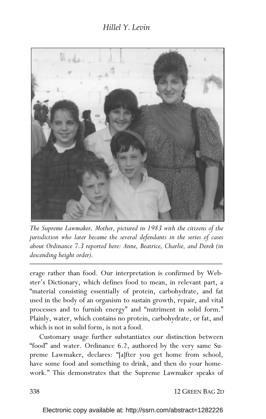

*The Supreme Lawmaker, Mother, pictured in 1983 with the citizens of the jurisdiction who later became the several defendants in the series of cases about Ordinance 7.3 reported here: Anne, Beatrice, Charlie, and Derek (in descending height order).* \_\_\_\_\_\_\_\_\_\_\_\_\_\_\_\_\_\_\_\_\_\_\_\_\_\_\_\_\_\_\_\_\_\_\_\_\_\_\_\_\_\_\_\_\_\_\_\_\_

erage rather than food. Our interpretation is confirmed by Webster's Dictionary, which defines food to mean, in relevant part, a "material consisting essentially of protein, carbohydrate, and fat used in the body of an organism to sustain growth, repair, and vital processes and to furnish energy" and "nutriment in solid form." Plainly, water, which contains no protein, carbohydrate, or fat, and which is not in solid form, is not a food.

Customary usage further substantiates our distinction between "food" and water. Ordinance 6.2, authored by the very same Supreme Lawmaker, declares: "[a]fter you get home from school, have some food and something to drink, and then do your homework." This demonstrates that the Supreme Lawmaker speaks of

338 12 GREEN BAG 2D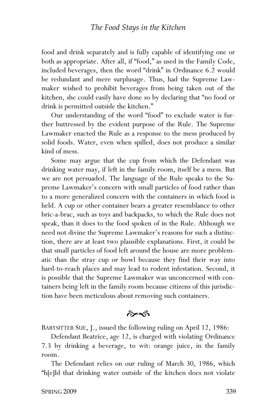food and drink separately and is fully capable of identifying one or both as appropriate. After all, if "food," as used in the Family Code, included beverages, then the word "drink" in Ordinance 6.2 would be redundant and mere surplusage. Thus, had the Supreme Lawmaker wished to prohibit beverages from being taken out of the kitchen, she could easily have done so by declaring that "no food or drink is permitted outside the kitchen."

Our understanding of the word "food" to exclude water is further buttressed by the evident purpose of the Rule. The Supreme Lawmaker enacted the Rule as a response to the mess produced by solid foods. Water, even when spilled, does not produce a similar kind of mess.

Some may argue that the cup from which the Defendant was drinking water may, if left in the family room, itself be a mess. But we are not persuaded. The language of the Rule speaks to the Supreme Lawmaker's concern with small particles of food rather than to a more generalized concern with the containers in which food is held. A cup or other container bears a greater resemblance to other bric-a-brac, such as toys and backpacks, to which the Rule does not speak, than it does to the food spoken of in the Rule. Although we need not divine the Supreme Lawmaker's reasons for such a distinction, there are at least two plausible explanations. First, it could be that small particles of food left around the house are more problematic than the stray cup or bowl because they find their way into hard-to-reach places and may lead to rodent infestation. Second, it is possible that the Supreme Lawmaker was unconcerned with containers being left in the family room because citizens of this jurisdiction have been meticulous about removing such containers.

## $\hat{\sigma}$

BABYSITTER SUE, J., issued the following ruling on April 12, 1986:

Defendant Beatrice, age 12, is charged with violating Ordinance 7.3 by drinking a beverage, to wit: orange juice, in the family room.

The Defendant relies on our ruling of March 30, 1986, which "h[e]ld that drinking water outside of the kitchen does not violate

SPRING 2009 339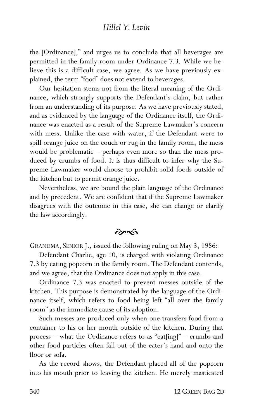#### *Hillel Y. Levin*

the [Ordinance]," and urges us to conclude that all beverages are permitted in the family room under Ordinance 7.3. While we believe this is a difficult case, we agree. As we have previously explained, the term "food" does not extend to beverages.

Our hesitation stems not from the literal meaning of the Ordinance, which strongly supports the Defendant's claim, but rather from an understanding of its purpose. As we have previously stated, and as evidenced by the language of the Ordinance itself, the Ordinance was enacted as a result of the Supreme Lawmaker's concern with mess. Unlike the case with water, if the Defendant were to spill orange juice on the couch or rug in the family room, the mess would be problematic – perhaps even more so than the mess produced by crumbs of food. It is thus difficult to infer why the Supreme Lawmaker would choose to prohibit solid foods outside of the kitchen but to permit orange juice.

Nevertheless, we are bound the plain language of the Ordinance and by precedent. We are confident that if the Supreme Lawmaker disagrees with the outcome in this case, she can change or clarify the law accordingly.

 $\hat{\sigma}$ 

GRANDMA, SENIOR J., issued the following ruling on May 3, 1986:

Defendant Charlie, age 10, is charged with violating Ordinance 7.3 by eating popcorn in the family room. The Defendant contends, and we agree, that the Ordinance does not apply in this case.

Ordinance 7.3 was enacted to prevent messes outside of the kitchen. This purpose is demonstrated by the language of the Ordinance itself, which refers to food being left "all over the family room" as the immediate cause of its adoption.

Such messes are produced only when one transfers food from a container to his or her mouth outside of the kitchen. During that process – what the Ordinance refers to as "eat[ing]" – crumbs and other food particles often fall out of the eater's hand and onto the floor or sofa.

As the record shows, the Defendant placed all of the popcorn into his mouth prior to leaving the kitchen. He merely masticated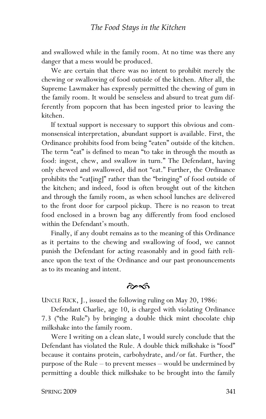and swallowed while in the family room. At no time was there any danger that a mess would be produced.

We are certain that there was no intent to prohibit merely the chewing or swallowing of food outside of the kitchen. After all, the Supreme Lawmaker has expressly permitted the chewing of gum in the family room. It would be senseless and absurd to treat gum differently from popcorn that has been ingested prior to leaving the kitchen.

If textual support is necessary to support this obvious and commonsensical interpretation, abundant support is available. First, the Ordinance prohibits food from being "eaten" outside of the kitchen. The term "eat" is defined to mean "to take in through the mouth as food: ingest, chew, and swallow in turn." The Defendant, having only chewed and swallowed, did not "eat." Further, the Ordinance prohibits the "eat[ing]" rather than the "bringing" of food outside of the kitchen; and indeed, food is often brought out of the kitchen and through the family room, as when school lunches are delivered to the front door for carpool pickup. There is no reason to treat food enclosed in a brown bag any differently from food enclosed within the Defendant's mouth.

Finally, if any doubt remains as to the meaning of this Ordinance as it pertains to the chewing and swallowing of food, we cannot punish the Defendant for acting reasonably and in good faith reliance upon the text of the Ordinance and our past pronouncements as to its meaning and intent.

কৈৰ্ক

UNCLE RICK, J., issued the following ruling on May 20, 1986:

Defendant Charlie, age 10, is charged with violating Ordinance 7.3 ("the Rule") by bringing a double thick mint chocolate chip milkshake into the family room.

Were I writing on a clean slate, I would surely conclude that the Defendant has violated the Rule. A double thick milkshake is "food" because it contains protein, carbohydrate, and/or fat. Further, the purpose of the Rule – to prevent messes – would be undermined by permitting a double thick milkshake to be brought into the family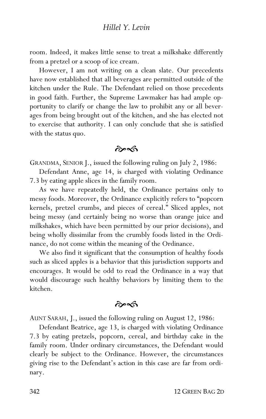room. Indeed, it makes little sense to treat a milkshake differently from a pretzel or a scoop of ice cream.

However, I am not writing on a clean slate. Our precedents have now established that all beverages are permitted outside of the kitchen under the Rule. The Defendant relied on those precedents in good faith. Further, the Supreme Lawmaker has had ample opportunity to clarify or change the law to prohibit any or all beverages from being brought out of the kitchen, and she has elected not to exercise that authority. I can only conclude that she is satisfied with the status quo.

 $\hat{\sigma}$ 

GRANDMA, SENIOR J., issued the following ruling on July 2, 1986:

Defendant Anne, age 14, is charged with violating Ordinance 7.3 by eating apple slices in the family room.

As we have repeatedly held, the Ordinance pertains only to messy foods. Moreover, the Ordinance explicitly refers to "popcorn kernels, pretzel crumbs, and pieces of cereal." Sliced apples, not being messy (and certainly being no worse than orange juice and milkshakes, which have been permitted by our prior decisions), and being wholly dissimilar from the crumbly foods listed in the Ordinance, do not come within the meaning of the Ordinance.

We also find it significant that the consumption of healthy foods such as sliced apples is a behavior that this jurisdiction supports and encourages. It would be odd to read the Ordinance in a way that would discourage such healthy behaviors by limiting them to the kitchen.

## $\hat{\sigma}$

AUNT SARAH, J., issued the following ruling on August 12, 1986:

Defendant Beatrice, age 13, is charged with violating Ordinance 7.3 by eating pretzels, popcorn, cereal, and birthday cake in the family room. Under ordinary circumstances, the Defendant would clearly be subject to the Ordinance. However, the circumstances giving rise to the Defendant's action in this case are far from ordinary.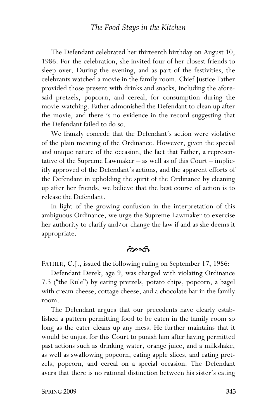The Defendant celebrated her thirteenth birthday on August 10, 1986. For the celebration, she invited four of her closest friends to sleep over. During the evening, and as part of the festivities, the celebrants watched a movie in the family room. Chief Justice Father provided those present with drinks and snacks, including the aforesaid pretzels, popcorn, and cereal, for consumption during the movie-watching. Father admonished the Defendant to clean up after the movie, and there is no evidence in the record suggesting that the Defendant failed to do so.

We frankly concede that the Defendant's action were violative of the plain meaning of the Ordinance. However, given the special and unique nature of the occasion, the fact that Father, a representative of the Supreme Lawmaker – as well as of this Court – implicitly approved of the Defendant's actions, and the apparent efforts of the Defendant in upholding the spirit of the Ordinance by cleaning up after her friends, we believe that the best course of action is to release the Defendant.

In light of the growing confusion in the interpretation of this ambiguous Ordinance, we urge the Supreme Lawmaker to exercise her authority to clarify and/or change the law if and as she deems it appropriate.

 $\hat{\sigma}$ 

FATHER, C.J., issued the following ruling on September 17, 1986:

Defendant Derek, age 9, was charged with violating Ordinance 7.3 ("the Rule") by eating pretzels, potato chips, popcorn, a bagel with cream cheese, cottage cheese, and a chocolate bar in the family room.

The Defendant argues that our precedents have clearly established a pattern permitting food to be eaten in the family room so long as the eater cleans up any mess. He further maintains that it would be unjust for this Court to punish him after having permitted past actions such as drinking water, orange juice, and a milkshake, as well as swallowing popcorn, eating apple slices, and eating pretzels, popcorn, and cereal on a special occasion. The Defendant avers that there is no rational distinction between his sister's eating